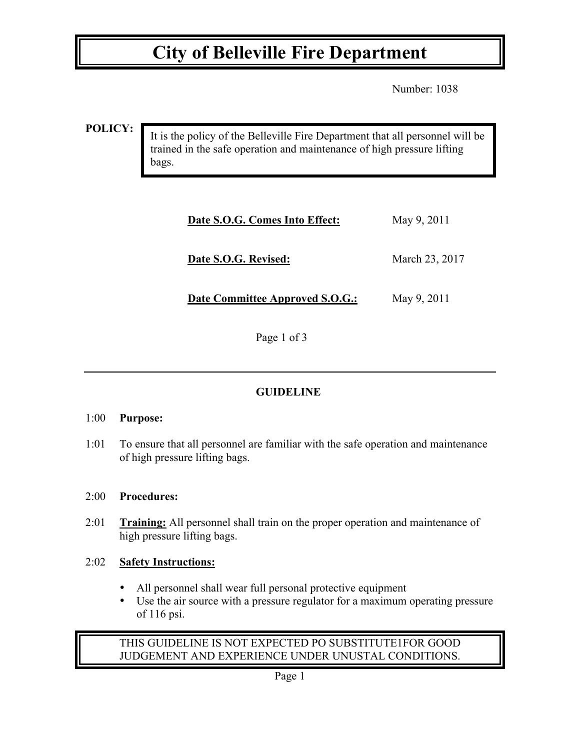## **City of Belleville Fire Department**

Number: 1038

**POLICY:**

It is the policy of the Belleville Fire Department that all personnel will be trained in the safe operation and maintenance of high pressure lifting bags.

| Date S.O.G. Comes Into Effect:         | May 9, 2011    |
|----------------------------------------|----------------|
| Date S.O.G. Revised:                   | March 23, 2017 |
| <b>Date Committee Approved S.O.G.:</b> | May 9, 2011    |

Page 1 of 3

## **GUIDELINE**

#### 1:00 **Purpose:**

1:01 To ensure that all personnel are familiar with the safe operation and maintenance of high pressure lifting bags.

#### 2:00 **Procedures:**

2:01 **Training:** All personnel shall train on the proper operation and maintenance of high pressure lifting bags.

## 2:02 **Safety Instructions:**

- All personnel shall wear full personal protective equipment
- Use the air source with a pressure regulator for a maximum operating pressure of 116 psi.

### THIS GUIDELINE IS NOT EXPECTED PO SUBSTITUTE1FOR GOOD JUDGEMENT AND EXPERIENCE UNDER UNUSTAL CONDITIONS.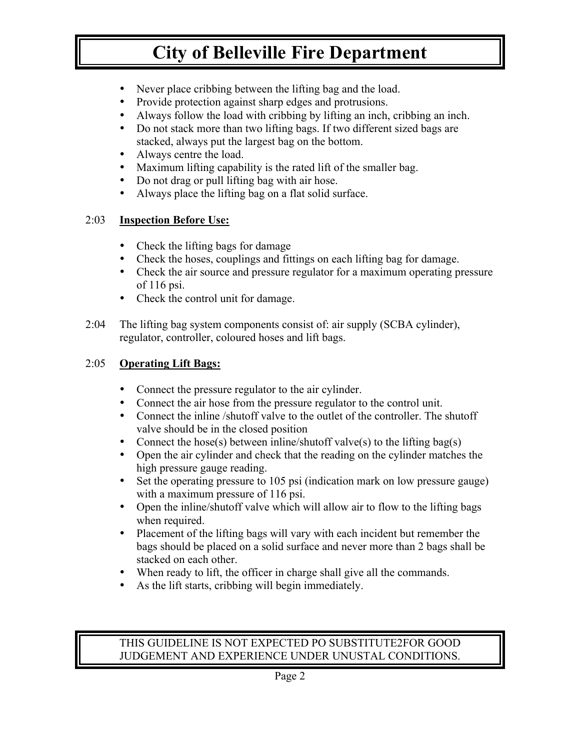# **City of Belleville Fire Department**

- Never place cribbing between the lifting bag and the load.
- Provide protection against sharp edges and protrusions.
- Always follow the load with cribbing by lifting an inch, cribbing an inch.
- Do not stack more than two lifting bags. If two different sized bags are stacked, always put the largest bag on the bottom.
- Always centre the load.
- Maximum lifting capability is the rated lift of the smaller bag.
- Do not drag or pull lifting bag with air hose.
- Always place the lifting bag on a flat solid surface.

#### 2:03 **Inspection Before Use:**

- Check the lifting bags for damage
- Check the hoses, couplings and fittings on each lifting bag for damage.
- Check the air source and pressure regulator for a maximum operating pressure of 116 psi.
- Check the control unit for damage.
- 2:04 The lifting bag system components consist of: air supply (SCBA cylinder), regulator, controller, coloured hoses and lift bags.

#### 2:05 **Operating Lift Bags:**

- Connect the pressure regulator to the air cylinder.
- Connect the air hose from the pressure regulator to the control unit.
- Connect the inline /shutoff valve to the outlet of the controller. The shutoff valve should be in the closed position
- Connect the hose(s) between inline/shutoff valve(s) to the lifting bag(s)
- Open the air cylinder and check that the reading on the cylinder matches the high pressure gauge reading.
- Set the operating pressure to 105 psi (indication mark on low pressure gauge) with a maximum pressure of 116 psi.
- Open the inline/shutoff valve which will allow air to flow to the lifting bags when required.
- Placement of the lifting bags will vary with each incident but remember the bags should be placed on a solid surface and never more than 2 bags shall be stacked on each other.
- When ready to lift, the officer in charge shall give all the commands.
- As the lift starts, cribbing will begin immediately.

#### THIS GUIDELINE IS NOT EXPECTED PO SUBSTITUTE2FOR GOOD JUDGEMENT AND EXPERIENCE UNDER UNUSTAL CONDITIONS.